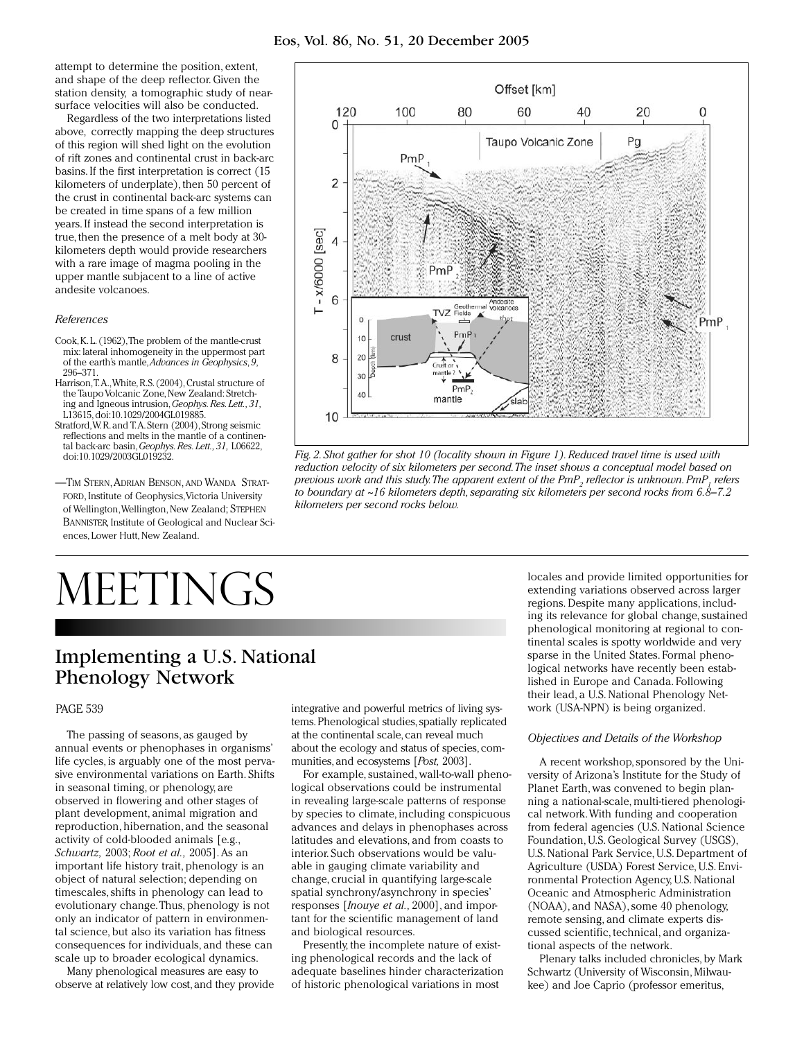attempt to determine the position, extent, and shape of the deep reflector. Given the station density, a tomographic study of nearsurface velocities will also be conducted.

Regardless of the two interpretations listed above, correctly mapping the deep structures of this region will shed light on the evolution of rift zones and continental crust in back-arc basins. If the first interpretation is correct (15 kilometers of underplate), then 50 percent of the crust in continental back-arc systems can be created in time spans of a few million years. If instead the second interpretation is true, then the presence of a melt body at 30 kilometers depth would provide researchers with a rare image of magma pooling in the upper mantle subjacent to a line of active andesite volcanoes.

### *References*

- Cook, K. L. (1962), The problem of the mantle-crust mix: lateral inhomogeneity in the uppermost part of the earth's mantle, *Advances in Geophysics*, *9*, 296–371.
- Harrison, T.A., White, R.S. (2004), Crustal structure of the Taupo Volcanic Zone, New Zealand: Stretching and Igneous intrusion, *Geophys. Res. Lett., 31,* L13615, doi:10.1029/2004GL019885.
- Stratford, W.R. and T.A. Stern (2004), Strong seismic reflections and melts in the mantle of a continental back-arc basin, *Geophys. Res. Lett., 31,* L06622, doi:10.1029/2003GL019232.
- —Tim Stern, Adrian Benson, and Wanda Stratford, Institute of Geophysics, Victoria University of Wellington, Wellington, New Zealand; Stephen Bannister, Institute of Geological and Nuclear Sciences, Lower Hutt, New Zealand.

# MEETINGS

# Implementing a U.S. National Phenology Network

## PAGe 539

The passing of seasons, as gauged by annual events or phenophases in organisms' life cycles, is arguably one of the most pervasive environmental variations on Earth. Shifts in seasonal timing, or phenology, are observed in flowering and other stages of plant development, animal migration and reproduction, hibernation, and the seasonal activity of cold-blooded animals [e.g., *Schwartz,* 2003; *Root et al.,* 2005]. As an important life history trait, phenology is an object of natural selection; depending on timescales, shifts in phenology can lead to evolutionary change. Thus, phenology is not only an indicator of pattern in environmental science, but also its variation has fitness consequences for individuals, and these can scale up to broader ecological dynamics.

Many phenological measures are easy to observe at relatively low cost, and they provide

integrative and powerful metrics of living systems. Phenological studies, spatially replicated at the continental scale, can reveal much about the ecology and status of species, communities, and ecosystems [*Post,* 2003].

For example, sustained, wall-to-wall phenological observations could be instrumental in revealing large-scale patterns of response by species to climate, including conspicuous advances and delays in phenophases across latitudes and elevations, and from coasts to interior. Such observations would be valuable in gauging climate variability and change, crucial in quantifying large-scale spatial synchrony/asynchrony in species' responses [*Inouye et al.,* 2000], and important for the scientific management of land and biological resources.

Presently, the incomplete nature of existing phenological records and the lack of adequate baselines hinder characterization of historic phenological variations in most

locales and provide limited opportunities for extending variations observed across larger regions. Despite many applications, including its relevance for global change, sustained phenological monitoring at regional to continental scales is spotty worldwide and very sparse in the United States. Formal phenological networks have recently been established in Europe and Canada. Following their lead, a U.S. National Phenology Network (USA-NPN) is being organized.

#### *Objectives and Details of the Workshop*

A recent workshop, sponsored by the University of Arizona's Institute for the Study of Planet Earth, was convened to begin planning a national-scale, multi-tiered phenological network. With funding and cooperation from federal agencies (U.S. National Science Foundation, U.S. Geological Survey (USGS), U.S. National Park Service, U.S. Department of Agriculture (USDA) Forest Service, U.S. Environmental Protection Agency, U.S. National Oceanic and Atmospheric Administration (NOAA), and NASA), some 40 phenology, remote sensing, and climate experts discussed scientific, technical, and organizational aspects of the network.

Plenary talks included chronicles, by Mark Schwartz (University of Wisconsin, Milwaukee) and Joe Caprio (professor emeritus,



*Fig. 2. Shot gather for shot 10 (locality shown in Figure 1). Reduced travel time is used with reduction velocity of six kilometers per second. The inset shows a conceptual model based on previous work and this study.The apparent extent of the PmP<sub>2</sub> reflector is unknown.PmP<sub>1</sub> refers to boundary at ~16 kilometers depth, separating six kilometers per second rocks from 6.8–7.2 kilometers per second rocks below.*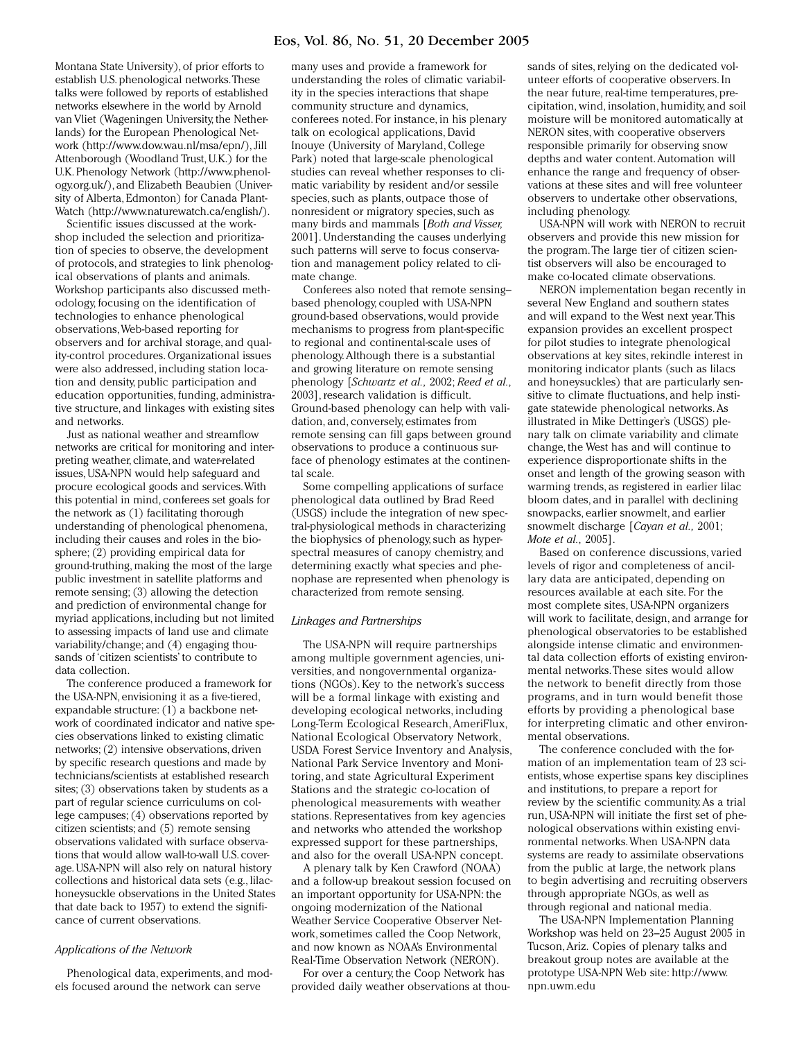# Eos, Vol. 86, No. 51, 20 December 2005

Montana State University), of prior efforts to establish U.S. phenological networks. These talks were followed by reports of established networks elsewhere in the world by Arnold van Vliet (Wageningen University, the Netherlands) for the European Phenological Network (http://www.dow.wau.nl/msa/epn/), Jill Attenborough (Woodland Trust, U.K.) for the U.K. Phenology Network (http://www.phenology.org.uk/), and Elizabeth Beaubien (University of Alberta, Edmonton) for Canada Plant-Watch (http://www.naturewatch.ca/english/).

Scientific issues discussed at the workshop included the selection and prioritization of species to observe, the development of protocols, and strategies to link phenological observations of plants and animals. Workshop participants also discussed methodology, focusing on the identification of technologies to enhance phenological observations, Web-based reporting for observers and for archival storage, and quality-control procedures. Organizational issues were also addressed, including station location and density, public participation and education opportunities, funding, administrative structure, and linkages with existing sites and networks.

Just as national weather and streamflow networks are critical for monitoring and interpreting weather, climate, and water-related issues, USA-NPN would help safeguard and procure ecological goods and services. With this potential in mind, conferees set goals for the network as (1) facilitating thorough understanding of phenological phenomena, including their causes and roles in the biosphere; (2) providing empirical data for ground-truthing, making the most of the large public investment in satellite platforms and remote sensing; (3) allowing the detection and prediction of environmental change for myriad applications, including but not limited to assessing impacts of land use and climate variability/change; and (4) engaging thousands of 'citizen scientists' to contribute to data collection.

The conference produced a framework for the USA-NPN, envisioning it as a five-tiered, expandable structure: (1) a backbone network of coordinated indicator and native species observations linked to existing climatic networks; (2) intensive observations, driven by specific research questions and made by technicians/scientists at established research sites; (3) observations taken by students as a part of regular science curriculums on college campuses; (4) observations reported by citizen scientists; and (5) remote sensing observations validated with surface observations that would allow wall-to-wall U.S. coverage. USA-NPN will also rely on natural history collections and historical data sets (e.g., lilachoneysuckle observations in the United States that date back to 1957) to extend the significance of current observations.

### *Applications of the Network*

Phenological data, experiments, and models focused around the network can serve

many uses and provide a framework for understanding the roles of climatic variability in the species interactions that shape community structure and dynamics, conferees noted. For instance, in his plenary talk on ecological applications, David Inouye (University of Maryland, College Park) noted that large-scale phenological studies can reveal whether responses to climatic variability by resident and/or sessile species, such as plants, outpace those of nonresident or migratory species, such as many birds and mammals [*Both and Visser,* 2001]. Understanding the causes underlying such patterns will serve to focus conservation and management policy related to climate change.

Conferees also noted that remote sensing– based phenology, coupled with USA-NPN ground-based observations, would provide mechanisms to progress from plant-specific to regional and continental-scale uses of phenology. Although there is a substantial and growing literature on remote sensing phenology [*Schwartz et al.,* 2002; *Reed et al.,* 2003], research validation is difficult. Ground-based phenology can help with validation, and, conversely, estimates from remote sensing can fill gaps between ground observations to produce a continuous surface of phenology estimates at the continental scale.

Some compelling applications of surface phenological data outlined by Brad Reed (USGS) include the integration of new spectral-physiological methods in characterizing the biophysics of phenology, such as hyperspectral measures of canopy chemistry, and determining exactly what species and phenophase are represented when phenology is characterized from remote sensing.

### *Linkages and Partnerships*

The USA-NPN will require partnerships among multiple government agencies, universities, and nongovernmental organizations (NGOs). Key to the network's success will be a formal linkage with existing and developing ecological networks, including Long-Term Ecological Research, AmeriFlux, National Ecological Observatory Network, USDA Forest Service Inventory and Analysis, National Park Service Inventory and Monitoring, and state Agricultural Experiment Stations and the strategic co-location of phenological measurements with weather stations. Representatives from key agencies and networks who attended the workshop expressed support for these partnerships, and also for the overall USA-NPN concept.

A plenary talk by Ken Crawford (NOAA) and a follow-up breakout session focused on an important opportunity for USA-NPN: the ongoing modernization of the National Weather Service Cooperative Observer Network, sometimes called the Coop Network, and now known as NOAA's Environmental Real-Time Observation Network (NERON).

For over a century, the Coop Network has provided daily weather observations at thousands of sites, relying on the dedicated volunteer efforts of cooperative observers. In the near future, real-time temperatures, precipitation, wind, insolation, humidity, and soil moisture will be monitored automatically at NERON sites, with cooperative observers responsible primarily for observing snow depths and water content. Automation will enhance the range and frequency of observations at these sites and will free volunteer observers to undertake other observations, including phenology.

USA-NPN will work with NERON to recruit observers and provide this new mission for the program. The large tier of citizen scientist observers will also be encouraged to make co-located climate observations.

NERON implementation began recently in several New England and southern states and will expand to the West next year. This expansion provides an excellent prospect for pilot studies to integrate phenological observations at key sites, rekindle interest in monitoring indicator plants (such as lilacs and honeysuckles) that are particularly sensitive to climate fluctuations, and help instigate statewide phenological networks. As illustrated in Mike Dettinger's (USGS) plenary talk on climate variability and climate change, the West has and will continue to experience disproportionate shifts in the onset and length of the growing season with warming trends, as registered in earlier lilac bloom dates, and in parallel with declining snowpacks, earlier snowmelt, and earlier snowmelt discharge [*Cayan et al.,* 2001; *Mote et al.,* 2005].

Based on conference discussions, varied levels of rigor and completeness of ancillary data are anticipated, depending on resources available at each site. For the most complete sites, USA-NPN organizers will work to facilitate, design, and arrange for phenological observatories to be established alongside intense climatic and environmental data collection efforts of existing environmental networks. These sites would allow the network to benefit directly from those programs, and in turn would benefit those efforts by providing a phenological base for interpreting climatic and other environmental observations.

The conference concluded with the formation of an implementation team of 23 scientists, whose expertise spans key disciplines and institutions, to prepare a report for review by the scientific community. As a trial run, USA-NPN will initiate the first set of phenological observations within existing environmental networks. When USA-NPN data systems are ready to assimilate observations from the public at large, the network plans to begin advertising and recruiting observers through appropriate NGOs, as well as through regional and national media.

The USA-NPN Implementation Planning Workshop was held on 23–25 August 2005 in Tucson, Ariz. Copies of plenary talks and breakout group notes are available at the prototype USA-NPN Web site: http://www. npn.uwm.edu